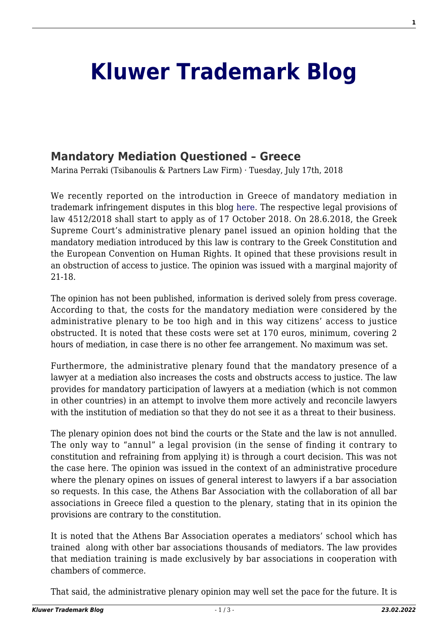## **[Kluwer Trademark Blog](http://trademarkblog.kluweriplaw.com/)**

## **[Mandatory Mediation Questioned – Greece](http://trademarkblog.kluweriplaw.com/2018/07/17/mandatory-mediation-questioned-greece/)**

Marina Perraki (Tsibanoulis & Partners Law Firm) · Tuesday, July 17th, 2018

We recently reported on the introduction in Greece of mandatory mediation in trademark infringement disputes in this blog [here.](http://trademarkblog.kluweriplaw.com/2018/05/16/greece-mandatory-mediation-trademark-civil-disputes-2/) The respective legal provisions of law 4512/2018 shall start to apply as of 17 October 2018. On 28.6.2018, the Greek Supreme Court's administrative plenary panel issued an opinion holding that the mandatory mediation introduced by this law is contrary to the Greek Constitution and the European Convention on Human Rights. It opined that these provisions result in an obstruction of access to justice. The opinion was issued with a marginal majority of 21-18.

The opinion has not been published, information is derived solely from press coverage. According to that, the costs for the mandatory mediation were considered by the administrative plenary to be too high and in this way citizens' access to justice obstructed. It is noted that these costs were set at 170 euros, minimum, covering 2 hours of mediation, in case there is no other fee arrangement. No maximum was set.

Furthermore, the administrative plenary found that the mandatory presence of a lawyer at a mediation also increases the costs and obstructs access to justice. The law provides for mandatory participation of lawyers at a mediation (which is not common in other countries) in an attempt to involve them more actively and reconcile lawyers with the institution of mediation so that they do not see it as a threat to their business.

The plenary opinion does not bind the courts or the State and the law is not annulled. The only way to "annul" a legal provision (in the sense of finding it contrary to constitution and refraining from applying it) is through a court decision. This was not the case here. The opinion was issued in the context of an administrative procedure where the plenary opines on issues of general interest to lawyers if a bar association so requests. In this case, the Athens Bar Association with the collaboration of all bar associations in Greece filed a question to the plenary, stating that in its opinion the provisions are contrary to the constitution.

It is noted that the Athens Bar Association operates a mediators' school which has trained along with other bar associations thousands of mediators. The law provides that mediation training is made exclusively by bar associations in cooperation with chambers of commerce.

That said, the administrative plenary opinion may well set the pace for the future. It is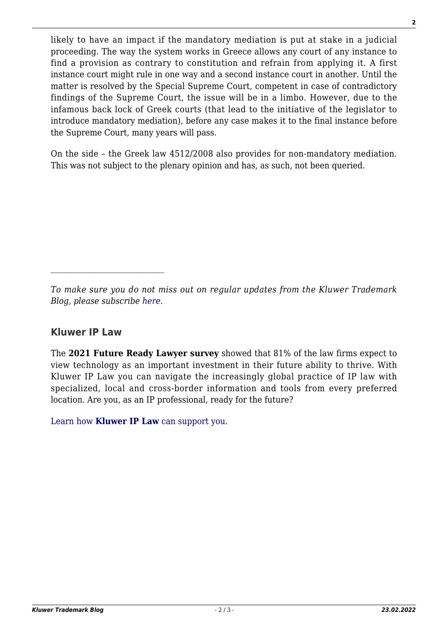likely to have an impact if the mandatory mediation is put at stake in a judicial proceeding. The way the system works in Greece allows any court of any instance to find a provision as contrary to constitution and refrain from applying it. A first instance court might rule in one way and a second instance court in another. Until the matter is resolved by the Special Supreme Court, competent in case of contradictory findings of the Supreme Court, the issue will be in a limbo. However, due to the infamous back lock of Greek courts (that lead to the initiative of the legislator to introduce mandatory mediation), before any case makes it to the final instance before the Supreme Court, many years will pass.

On the side – the Greek law 4512/2008 also provides for non-mandatory mediation. This was not subject to the plenary opinion and has, as such, not been queried.

## **Kluwer IP Law**

The **2021 Future Ready Lawyer survey** showed that 81% of the law firms expect to view technology as an important investment in their future ability to thrive. With Kluwer IP Law you can navigate the increasingly global practice of IP law with specialized, local and cross-border information and tools from every preferred location. Are you, as an IP professional, ready for the future?

[Learn how](https://www.wolterskluwer.com/en/solutions/kluweriplaw?utm_source=trademarkblog&utm_medium=articleCTA&utm_campaign=article-banner) **[Kluwer IP Law](https://www.wolterskluwer.com/en/solutions/kluweriplaw?utm_source=trademarkblog&utm_medium=articleCTA&utm_campaign=article-banner)** [can support you.](https://www.wolterskluwer.com/en/solutions/kluweriplaw?utm_source=trademarkblog&utm_medium=articleCTA&utm_campaign=article-banner)

*To make sure you do not miss out on regular updates from the Kluwer Trademark Blog, please subscribe [here](http://trademarkblog.kluweriplaw.com/newsletter/).*